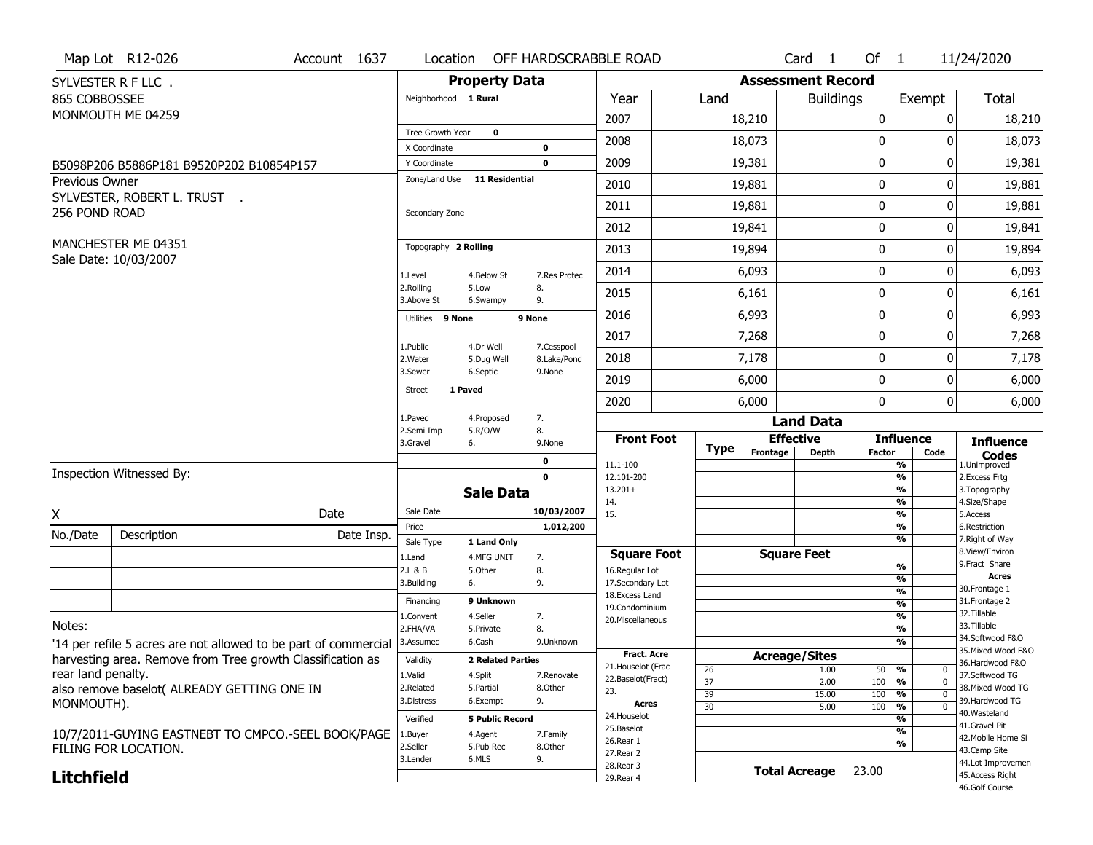|                       | Map Lot R12-026                              | Account 1637                                                    | Location                                     |                           | OFF HARDSCRABBLE ROAD |                                   |                                          |                       |                          | Card <sub>1</sub> | Of 1          |                                  | 11/24/2020                        |
|-----------------------|----------------------------------------------|-----------------------------------------------------------------|----------------------------------------------|---------------------------|-----------------------|-----------------------------------|------------------------------------------|-----------------------|--------------------------|-------------------|---------------|----------------------------------|-----------------------------------|
|                       | SYLVESTER R F LLC.                           |                                                                 |                                              | <b>Property Data</b>      |                       |                                   |                                          |                       | <b>Assessment Record</b> |                   |               |                                  |                                   |
| 865 COBBOSSEE         |                                              |                                                                 | Neighborhood 1 Rural                         |                           |                       | Year                              |                                          | Land                  |                          | <b>Buildings</b>  |               | Exempt                           | Total                             |
|                       | MONMOUTH ME 04259                            |                                                                 |                                              |                           |                       | 2007                              |                                          |                       | 18,210                   |                   | 0             | 0                                | 18,210                            |
|                       |                                              |                                                                 | Tree Growth Year                             | 0                         |                       | 2008                              |                                          |                       | 18,073                   |                   | 0             | <sup>0</sup>                     | 18,073                            |
|                       |                                              |                                                                 | X Coordinate                                 |                           | 0                     | 2009                              |                                          |                       |                          |                   | 0             | 0                                | 19,381                            |
|                       | B5098P206 B5886P181 B9520P202 B10854P157     |                                                                 | Y Coordinate<br>Zone/Land Use 11 Residential |                           | 0                     |                                   |                                          |                       | 19,381                   |                   |               |                                  |                                   |
| <b>Previous Owner</b> | SYLVESTER, ROBERT L. TRUST.                  |                                                                 |                                              |                           |                       | 2010                              |                                          |                       | 19,881                   |                   | 0             | 0                                | 19,881                            |
| 256 POND ROAD         |                                              |                                                                 | Secondary Zone                               |                           |                       | 2011                              |                                          |                       | 19,881                   |                   | 0             | 0                                | 19,881                            |
|                       |                                              |                                                                 |                                              |                           |                       | 2012                              |                                          |                       | 19,841                   |                   | 0             | 0                                | 19,841                            |
|                       | MANCHESTER ME 04351<br>Sale Date: 10/03/2007 |                                                                 | Topography 2 Rolling                         |                           |                       | 2013                              |                                          |                       | 19,894                   |                   | 0             | 0                                | 19,894                            |
|                       |                                              |                                                                 | 1.Level                                      | 4.Below St                | 7.Res Protec          | 2014                              |                                          |                       | 6,093                    |                   | 0             | 0                                | 6,093                             |
|                       |                                              |                                                                 | 2.Rolling<br>3.Above St                      | 5.Low<br>6.Swampy         | 8.<br>9.              | 2015                              |                                          |                       | 6,161                    |                   | 0             | 0                                | 6,161                             |
|                       |                                              |                                                                 | Utilities 9 None                             |                           | 9 None                | 2016                              |                                          |                       | 6,993                    |                   | 0             | 0                                | 6,993                             |
|                       |                                              |                                                                 | 1.Public                                     | 4.Dr Well                 | 7.Cesspool            | 2017                              |                                          |                       | 7,268                    |                   | 0             | 0                                | 7,268                             |
|                       |                                              |                                                                 | 2. Water                                     | 5.Dug Well                | 8.Lake/Pond           | 2018                              |                                          |                       | 7,178                    |                   | 0             | 0                                | 7,178                             |
|                       |                                              |                                                                 | 3.Sewer                                      | 6.Septic                  | 9.None                | 2019                              |                                          |                       | 6,000                    |                   | 0             | 0                                | 6,000                             |
|                       |                                              |                                                                 | <b>Street</b>                                | 1 Paved                   |                       | 2020                              |                                          |                       | 6,000                    |                   | 0             | $\overline{0}$                   | 6,000                             |
|                       |                                              |                                                                 | 1.Paved                                      | 4.Proposed                | 7.                    |                                   |                                          |                       |                          | <b>Land Data</b>  |               |                                  |                                   |
|                       |                                              |                                                                 | 2.Semi Imp<br>3.Gravel                       | 5.R/O/W<br>6.             | 8.<br>9.None          | <b>Front Foot</b>                 |                                          |                       | <b>Effective</b>         |                   |               | <b>Influence</b>                 | <b>Influence</b>                  |
|                       |                                              |                                                                 |                                              |                           | 0                     | 11.1-100                          |                                          | <b>Type</b>           | Frontage                 | <b>Depth</b>      | <b>Factor</b> | Code<br>$\overline{\frac{9}{6}}$ | <b>Codes</b><br>1.Unimproved      |
|                       | Inspection Witnessed By:                     |                                                                 |                                              |                           | 0                     | 12.101-200                        |                                          |                       |                          |                   |               | $\frac{9}{6}$                    | 2.Excess Frtg                     |
|                       |                                              |                                                                 |                                              | <b>Sale Data</b>          |                       | $13.201+$<br>14.                  |                                          |                       |                          |                   |               | $\frac{9}{6}$<br>$\frac{9}{6}$   | 3. Topography<br>4.Size/Shape     |
| Χ                     |                                              | Date                                                            | Sale Date                                    |                           | 10/03/2007            | 15.                               |                                          |                       |                          |                   |               | $\frac{9}{6}$                    | 5.Access                          |
| No./Date              | Description                                  | Date Insp.                                                      | Price                                        |                           | 1,012,200             |                                   |                                          |                       |                          |                   |               | %<br>%                           | 6.Restriction<br>7. Right of Way  |
|                       |                                              |                                                                 | Sale Type<br>1.Land                          | 1 Land Only<br>4.MFG UNIT | 7.                    | <b>Square Foot</b>                |                                          |                       | <b>Square Feet</b>       |                   |               |                                  | 8.View/Environ                    |
|                       |                                              |                                                                 | 2.L & B                                      | 5.Other                   | 8.                    | 16.Regular Lot                    |                                          |                       |                          |                   |               | %                                | 9. Fract Share<br><b>Acres</b>    |
|                       |                                              |                                                                 | 3.Building                                   | 6.                        | 9.                    | 17.Secondary Lot                  |                                          |                       |                          |                   |               | $\frac{9}{6}$<br>$\frac{9}{6}$   | 30. Frontage 1                    |
|                       |                                              |                                                                 | Financing                                    | 9 Unknown                 |                       | 18. Excess Land<br>19.Condominium |                                          |                       |                          |                   |               | $\frac{9}{6}$                    | 31. Frontage 2                    |
|                       |                                              |                                                                 | 1.Convent                                    | 4.Seller                  | 7.                    | 20. Miscellaneous                 |                                          |                       |                          |                   |               | $\frac{9}{6}$                    | 32.Tillable<br>33.Tillable        |
| Notes:                |                                              |                                                                 | 2.FHA/VA                                     | 5.Private                 | 8.                    |                                   |                                          |                       |                          |                   |               | $\frac{9}{6}$                    | 34.Softwood F&O                   |
|                       |                                              | '14 per refile 5 acres are not allowed to be part of commercial | 3.Assumed                                    | 6.Cash                    | 9.Unknown             |                                   |                                          |                       |                          |                   |               | $\frac{9}{6}$                    | 35. Mixed Wood F&O                |
|                       |                                              | harvesting area. Remove from Tree growth Classification as      | Validity                                     | <b>2 Related Parties</b>  |                       |                                   | <b>Fract. Acre</b><br>21. Houselot (Frac |                       | <b>Acreage/Sites</b>     | 1.00              | 50            | %<br>0                           | 36.Hardwood F&O                   |
| rear land penalty.    |                                              |                                                                 | 1.Valid                                      | 4.Split                   | 7.Renovate            | 22.Baselot(Fract)                 |                                          | 26<br>$\overline{37}$ |                          | 2.00              | 100           | $\mathbf 0$<br>%                 | 37.Softwood TG                    |
|                       | also remove baselot( ALREADY GETTING ONE IN  |                                                                 | 2.Related                                    | 5.Partial                 | 8.Other               | 23.                               |                                          | 39                    |                          | 15.00             | 100           | %<br>0                           | 38. Mixed Wood TG                 |
| MONMOUTH).            |                                              |                                                                 | 3.Distress                                   | 6.Exempt                  | 9.                    | Acres                             |                                          | 30                    |                          | 5.00              | 100           | %<br>$\mathbf 0$                 | 39.Hardwood TG<br>40. Wasteland   |
|                       |                                              |                                                                 | Verified                                     | <b>5 Public Record</b>    |                       | 24. Houselot                      |                                          |                       |                          |                   |               | %                                | 41.Gravel Pit                     |
|                       |                                              | 10/7/2011-GUYING EASTNEBT TO CMPCO.-SEEL BOOK/PAGE              | 1.Buyer                                      | 4.Agent                   | 7.Family              | 25.Baselot<br>26.Rear 1           |                                          |                       |                          |                   |               | %                                | 42. Mobile Home Si                |
|                       | FILING FOR LOCATION.                         |                                                                 | 2.Seller                                     | 5.Pub Rec                 | 8.Other               | 27. Rear 2                        |                                          |                       |                          |                   |               | %                                | 43.Camp Site                      |
|                       |                                              |                                                                 | 3.Lender                                     | 6.MLS                     | 9.                    | 28. Rear 3                        |                                          |                       |                          |                   | 23.00         |                                  | 44.Lot Improvemen                 |
| <b>Litchfield</b>     |                                              |                                                                 |                                              |                           |                       | 29. Rear 4                        |                                          |                       | <b>Total Acreage</b>     |                   |               |                                  | 45.Access Right<br>46.Golf Course |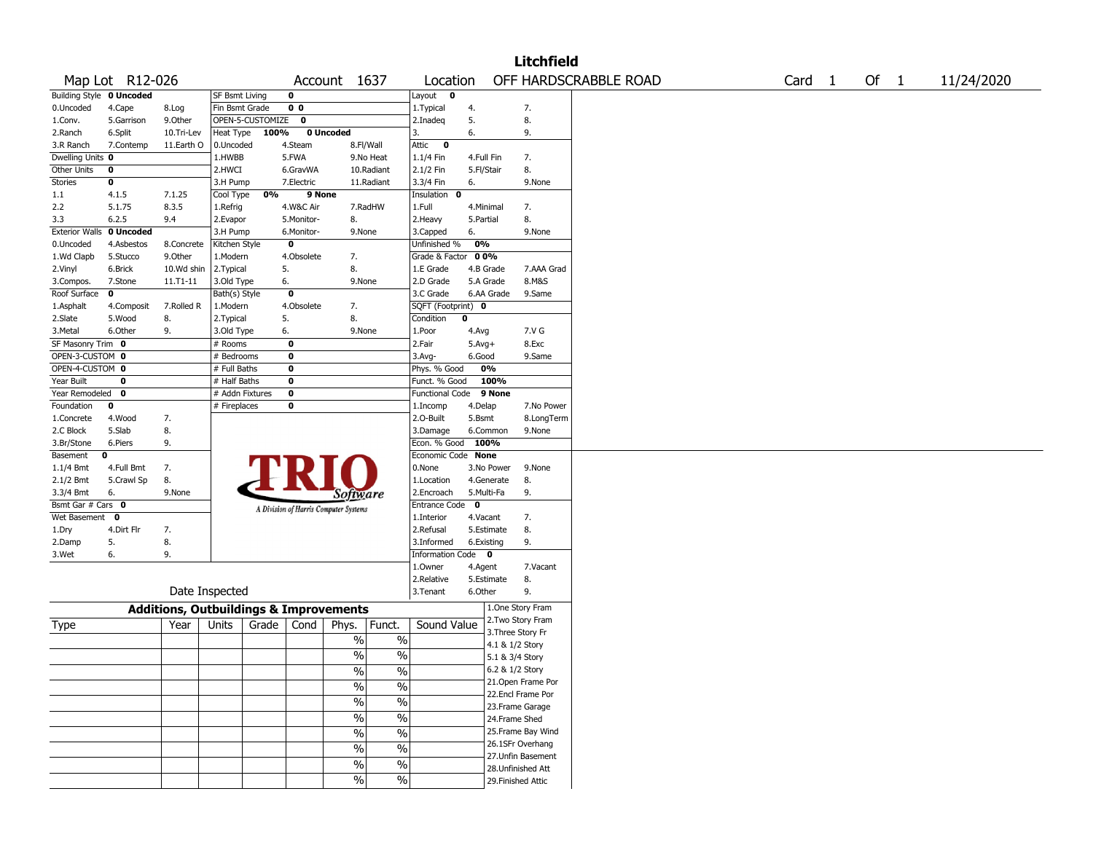|                                                        |                 |                                                   |                              |                  |                         |                                       |                          |                              |                    |            | <b>Litchfield</b>                     |                       |  |  |                   |        |            |
|--------------------------------------------------------|-----------------|---------------------------------------------------|------------------------------|------------------|-------------------------|---------------------------------------|--------------------------|------------------------------|--------------------|------------|---------------------------------------|-----------------------|--|--|-------------------|--------|------------|
|                                                        | Map Lot R12-026 |                                                   |                              |                  |                         | Account 1637                          |                          | Location                     |                    |            |                                       | OFF HARDSCRABBLE ROAD |  |  | Card <sub>1</sub> | Of $1$ | 11/24/2020 |
| <b>Building Style 0 Uncoded</b><br>0<br>SF Bsmt Living |                 |                                                   |                              |                  |                         |                                       | Layout<br>$\mathbf 0$    |                              |                    |            |                                       |                       |  |  |                   |        |            |
| 0.Uncoded                                              | 4.Cape          | 8.Log                                             | Fin Bsmt Grade               |                  | 0 <sub>0</sub>          |                                       |                          | 1. Typical                   | 4.                 |            | 7.                                    |                       |  |  |                   |        |            |
| 1.Conv.                                                | 5.Garrison      | 9.0ther                                           |                              | OPEN-5-CUSTOMIZE | $\bf{0}$                |                                       |                          | 2.Inadeq                     | 5.                 |            | 8.                                    |                       |  |  |                   |        |            |
| 2.Ranch                                                | 6.Split         | 10.Tri-Lev                                        | Heat Type                    | 100%             |                         | 0 Uncoded                             |                          | 3.                           | 6.                 |            | 9.                                    |                       |  |  |                   |        |            |
| 3.R Ranch                                              | 7.Contemp       | 11.Earth O                                        | 0.Uncoded                    |                  | 4.Steam                 |                                       | 8.Fl/Wall                | Attic<br>$\bf{0}$            |                    |            |                                       |                       |  |  |                   |        |            |
| Dwelling Units 0                                       |                 |                                                   | 1.HWBB                       |                  | 5.FWA                   |                                       | 9.No Heat                | 1.1/4 Fin                    | 4.Full Fin         |            | 7.                                    |                       |  |  |                   |        |            |
| Other Units                                            | $\bf{0}$        |                                                   | 2.HWCI                       |                  | 6.GravWA                |                                       | 10.Radiant               | 2.1/2 Fin                    | 5.Fl/Stair         |            | 8.                                    |                       |  |  |                   |        |            |
| Stories                                                | 0               |                                                   | 3.H Pump                     |                  | 7.Electric              |                                       | 11.Radiant               | 3.3/4 Fin                    | 6.                 |            | 9.None                                |                       |  |  |                   |        |            |
| 1.1                                                    | 4.1.5           | 7.1.25                                            | Cool Type                    | 0%               | 9 None                  |                                       |                          | Insulation<br>0              |                    |            |                                       |                       |  |  |                   |        |            |
| 2.2                                                    | 5.1.75          | 8.3.5                                             | 1.Refrig                     |                  | 4.W&C Air               |                                       | 7.RadHW                  | 1.Full                       | 4.Minimal          |            | 7.                                    |                       |  |  |                   |        |            |
| 3.3                                                    | 6.2.5           | 9.4                                               | 2.Evapor                     |                  | 5.Monitor-              | 8.                                    |                          | 2. Heavy                     | 5.Partial          |            | 8.                                    |                       |  |  |                   |        |            |
| <b>Exterior Walls</b>                                  | 0 Uncoded       |                                                   | 3.H Pump                     |                  | 6.Monitor-              | 9.None                                |                          | 3.Capped                     | 6.                 |            | 9.None                                |                       |  |  |                   |        |            |
| 0.Uncoded                                              | 4.Asbestos      | 8.Concrete                                        | Kitchen Style                |                  | $\mathbf 0$             |                                       |                          | Unfinished %                 | 0%                 |            |                                       |                       |  |  |                   |        |            |
| 1.Wd Clapb                                             | 5.Stucco        | 9.0ther                                           | 1.Modern                     |                  | 4.Obsolete              | 7.                                    |                          | Grade & Factor               | 0 0%               |            |                                       |                       |  |  |                   |        |            |
| 2.Vinyl                                                | 6.Brick         | 10.Wd shin                                        | 2.Typical                    |                  | 5.                      | 8.                                    |                          | 1.E Grade                    |                    | 4.B Grade  | 7.AAA Grad                            |                       |  |  |                   |        |            |
| 3.Compos.                                              | 7.Stone         | $11.71 - 11$                                      | 3.Old Type                   |                  | 6.                      | 9.None                                |                          | 2.D Grade                    |                    | 5.A Grade  | 8.M&S                                 |                       |  |  |                   |        |            |
| Roof Surface                                           | 0               |                                                   | Bath(s) Style                |                  | $\overline{\mathbf{0}}$ |                                       |                          | 3.C Grade                    |                    | 6.AA Grade | 9.Same                                |                       |  |  |                   |        |            |
| 1.Asphalt                                              | 4.Composit      | 7.Rolled R                                        | 4.Obsolete<br>1.Modern<br>7. |                  |                         |                                       |                          |                              | SQFT (Footprint) 0 |            |                                       |                       |  |  |                   |        |            |
| 2.Slate                                                | 5.Wood          | 8.                                                | 2. Typical                   |                  | 5.                      | 8.                                    |                          | Condition                    | 0                  |            |                                       |                       |  |  |                   |        |            |
| 3.Metal                                                | 6.Other         | 9.                                                | 3.Old Type                   |                  | 6.                      | 9.None                                |                          | 1.Poor                       | 4.Avg              |            | 7.V G                                 |                       |  |  |                   |        |            |
| SF Masonry Trim 0                                      |                 |                                                   | # Rooms                      |                  | $\bf{0}$                |                                       |                          | 2.Fair                       | $5.Avg+$           |            | 8.Exc                                 |                       |  |  |                   |        |            |
| OPEN-3-CUSTOM 0                                        |                 |                                                   | # Bedrooms                   |                  | $\pmb{0}$               |                                       |                          | 3.Avg-                       | 6.Good             |            | 9.Same                                |                       |  |  |                   |        |            |
| OPEN-4-CUSTOM 0<br>$\mathbf 0$<br># Full Baths         |                 |                                                   |                              | Phys. % Good     |                         | 0%                                    |                          |                              |                    |            |                                       |                       |  |  |                   |        |            |
| Year Built<br>$\pmb{0}$<br>$\mathbf 0$<br># Half Baths |                 |                                                   |                              |                  |                         |                                       | Funct. % Good            |                              | 100%               |            |                                       |                       |  |  |                   |        |            |
| # Addn Fixtures<br>$\pmb{0}$<br>Year Remodeled<br>0    |                 |                                                   |                              | Functional Code  |                         | 9 None                                |                          |                              |                    |            |                                       |                       |  |  |                   |        |            |
| Foundation                                             | 0               |                                                   | # Fireplaces                 |                  | 0                       |                                       |                          | 1.Incomp                     | 4.Delap            |            | 7.No Power                            |                       |  |  |                   |        |            |
| 1.Concrete                                             | 4.Wood          | 7.                                                |                              |                  |                         |                                       |                          | 2.0-Built                    | 5.Bsmt             |            | 8.LongTerm                            |                       |  |  |                   |        |            |
| 2.C Block                                              | 5.Slab          | 8.                                                |                              |                  |                         |                                       |                          | 3.Damage                     |                    | 6.Common   | 9.None                                |                       |  |  |                   |        |            |
| 3.Br/Stone                                             | 6.Piers         | 9.                                                |                              |                  |                         |                                       |                          | Econ. % Good                 | 100%               |            |                                       |                       |  |  |                   |        |            |
| Basement                                               | 0               |                                                   |                              |                  |                         |                                       |                          | Economic Code None           |                    |            |                                       |                       |  |  |                   |        |            |
| 1.1/4 Bmt                                              | 4.Full Bmt      | 7.                                                |                              |                  |                         |                                       |                          | 0.None                       |                    | 3.No Power | 9.None                                |                       |  |  |                   |        |            |
| 2.1/2 Bmt                                              | 5.Crawl Sp      | 8.                                                |                              |                  |                         |                                       |                          | 1.Location                   |                    | 4.Generate | 8.                                    |                       |  |  |                   |        |            |
| 3.3/4 Bmt                                              | 6.              | 9.None                                            |                              |                  |                         | Software                              |                          | 2.Encroach                   |                    | 5.Multi-Fa | 9.                                    |                       |  |  |                   |        |            |
| Bsmt Gar # Cars 0                                      |                 |                                                   |                              |                  |                         | A Division of Harris Computer Systems |                          | $\mathbf 0$<br>Entrance Code |                    |            |                                       |                       |  |  |                   |        |            |
| Wet Basement                                           | 0               |                                                   |                              |                  |                         |                                       |                          | 1.Interior                   | 4.Vacant           |            | 7.                                    |                       |  |  |                   |        |            |
| 1.Dry                                                  | 4.Dirt Flr      | 7.                                                |                              |                  |                         |                                       |                          | 2.Refusal                    |                    | 5.Estimate | 8.                                    |                       |  |  |                   |        |            |
| 2.Damp                                                 | 5.              | 8.                                                |                              |                  |                         |                                       |                          | 3.Informed                   |                    | 6.Existing | 9.                                    |                       |  |  |                   |        |            |
| 3.Wet                                                  | 6.              | 9.                                                |                              |                  |                         |                                       |                          | Information Code 0           |                    |            |                                       |                       |  |  |                   |        |            |
|                                                        |                 |                                                   |                              |                  |                         |                                       |                          | 1.0wner                      | 4.Agent            |            | 7.Vacant                              |                       |  |  |                   |        |            |
|                                                        |                 | Date Inspected                                    |                              |                  |                         |                                       |                          | 2.Relative<br>3.Tenant       | 6.Other            | 5.Estimate | 8.<br>9.                              |                       |  |  |                   |        |            |
|                                                        |                 |                                                   |                              |                  |                         |                                       |                          |                              |                    |            |                                       |                       |  |  |                   |        |            |
|                                                        |                 | <b>Additions, Outbuildings &amp; Improvements</b> |                              |                  |                         |                                       |                          |                              |                    |            | 1.One Story Fram                      |                       |  |  |                   |        |            |
| Type                                                   |                 | Year                                              | Units                        | Grade            | Cond                    | Phys.                                 | Funct.                   | Sound Value                  |                    |            | 2. Two Story Fram                     |                       |  |  |                   |        |            |
|                                                        |                 |                                                   |                              |                  |                         | $\%$                                  | $\%$                     |                              |                    |            | 3. Three Story Fr                     |                       |  |  |                   |        |            |
|                                                        |                 |                                                   |                              |                  |                         | $\frac{0}{0}$                         | $\%$                     |                              |                    |            | 4.1 & 1/2 Story                       |                       |  |  |                   |        |            |
|                                                        |                 |                                                   |                              |                  |                         |                                       |                          |                              |                    |            | 5.1 & 3/4 Story                       |                       |  |  |                   |        |            |
|                                                        |                 |                                                   |                              |                  |                         | $\frac{0}{0}$                         | $\frac{0}{0}$            |                              |                    |            | 6.2 & 1/2 Story<br>21. Open Frame Por |                       |  |  |                   |        |            |
|                                                        |                 |                                                   |                              |                  |                         | $\frac{1}{2}$                         | $\overline{\frac{0}{0}}$ |                              |                    |            | 22.Encl Frame Por                     |                       |  |  |                   |        |            |
|                                                        |                 |                                                   |                              |                  |                         | $\frac{9}{6}$                         | $\overline{\frac{0}{0}}$ |                              |                    |            | 23.Frame Garage                       |                       |  |  |                   |        |            |
|                                                        |                 |                                                   |                              |                  |                         | $\frac{1}{2}$                         | $\overline{\frac{0}{0}}$ |                              |                    |            | 24.Frame Shed                         |                       |  |  |                   |        |            |
|                                                        |                 |                                                   |                              |                  |                         |                                       | $\overline{\frac{0}{0}}$ |                              |                    |            | 25. Frame Bay Wind                    |                       |  |  |                   |        |            |
|                                                        |                 |                                                   |                              |                  |                         | $\sqrt{6}$                            |                          |                              |                    |            | 26.1SFr Overhang                      |                       |  |  |                   |        |            |
|                                                        |                 |                                                   |                              |                  |                         | $\frac{0}{0}$                         | $\overline{\frac{0}{0}}$ |                              |                    |            | 27.Unfin Basement                     |                       |  |  |                   |        |            |
|                                                        |                 |                                                   |                              |                  |                         | $\frac{1}{2}$                         | $\overline{\frac{0}{0}}$ |                              |                    |            | 28. Unfinished Att                    |                       |  |  |                   |        |            |
|                                                        |                 |                                                   |                              |                  |                         | $\frac{9}{6}$                         | $\overline{\frac{0}{0}}$ |                              |                    |            | 29. Finished Attic                    |                       |  |  |                   |        |            |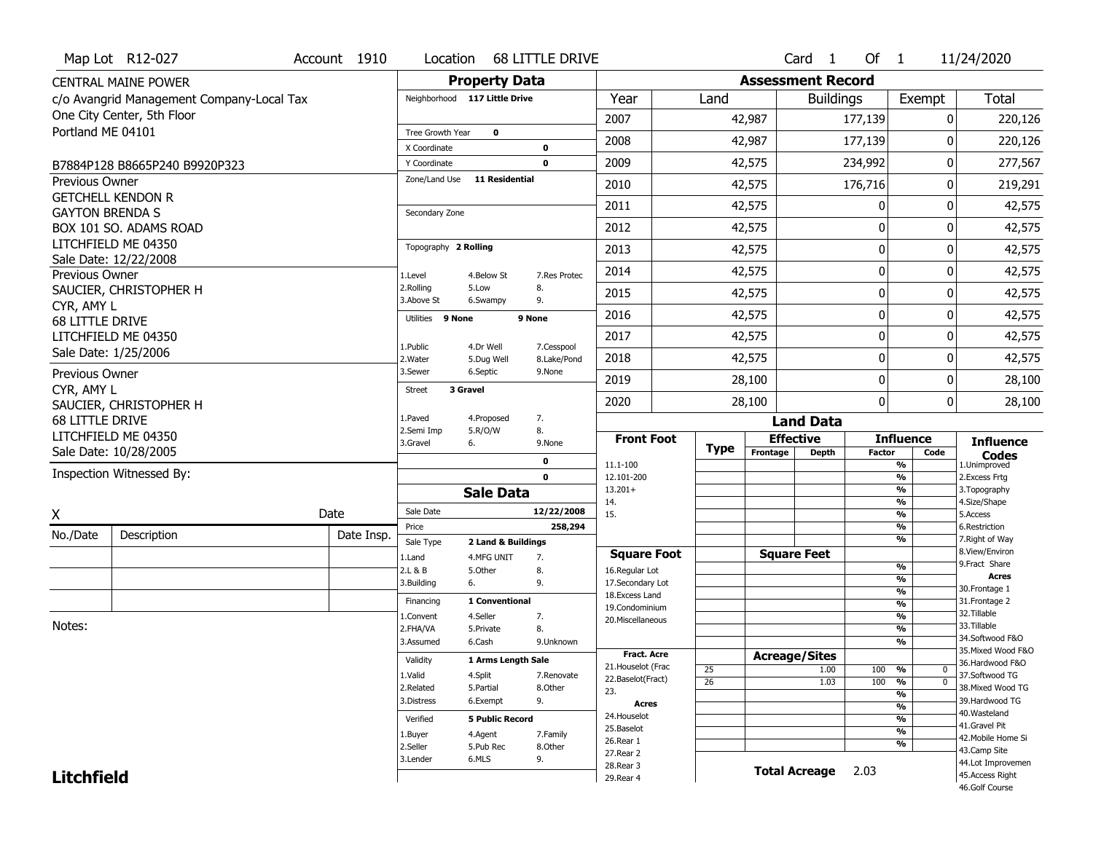|                        | Map Lot R12-027                           | Account 1910 | Location                      |                               | 68 LITTLE DRIVE            |                                    |                 |                      | Card <sub>1</sub>        | Of $1$        |                                                      | 11/24/2020                            |
|------------------------|-------------------------------------------|--------------|-------------------------------|-------------------------------|----------------------------|------------------------------------|-----------------|----------------------|--------------------------|---------------|------------------------------------------------------|---------------------------------------|
|                        | <b>CENTRAL MAINE POWER</b>                |              |                               | <b>Property Data</b>          |                            |                                    |                 |                      | <b>Assessment Record</b> |               |                                                      |                                       |
|                        | c/o Avangrid Management Company-Local Tax |              |                               | Neighborhood 117 Little Drive |                            | Year                               | Land            |                      | <b>Buildings</b>         |               | Exempt                                               | <b>Total</b>                          |
|                        | One City Center, 5th Floor                |              |                               |                               |                            | 2007                               |                 | 42,987               |                          | 177,139       | 0                                                    | 220,126                               |
| Portland ME 04101      |                                           |              | Tree Growth Year              | $\mathbf 0$                   |                            | 2008                               |                 | 42,987               |                          | 177,139       | U                                                    | 220,126                               |
|                        |                                           |              | X Coordinate                  |                               | $\mathbf 0$                |                                    |                 |                      |                          |               |                                                      |                                       |
|                        | B7884P128 B8665P240 B9920P323             |              | Y Coordinate<br>Zone/Land Use | <b>11 Residential</b>         | $\mathbf 0$                | 2009                               |                 | 42,575               |                          | 234,992       | 0                                                    | 277,567                               |
| <b>Previous Owner</b>  | <b>GETCHELL KENDON R</b>                  |              |                               |                               |                            | 2010                               |                 | 42,575               |                          | 176,716       | 0                                                    | 219,291                               |
| <b>GAYTON BRENDA S</b> |                                           |              | Secondary Zone                |                               |                            | 2011                               |                 | 42,575               |                          | 0             | 0                                                    | 42,575                                |
|                        | BOX 101 SO. ADAMS ROAD                    |              |                               |                               |                            | 2012                               |                 | 42,575               |                          | 0             | 0                                                    | 42,575                                |
|                        | LITCHFIELD ME 04350                       |              | Topography 2 Rolling          |                               |                            | 2013                               |                 | 42,575               |                          | 0             | 0                                                    | 42,575                                |
|                        | Sale Date: 12/22/2008                     |              |                               |                               |                            | 2014                               |                 | 42,575               |                          | $\mathbf 0$   | 0                                                    | 42,575                                |
| Previous Owner         | SAUCIER, CHRISTOPHER H                    |              | 1.Level<br>2.Rolling          | 4.Below St<br>5.Low           | 7.Res Protec<br>8.         |                                    |                 |                      |                          |               |                                                      |                                       |
| CYR, AMY L             |                                           |              | 3.Above St                    | 6.Swampy                      | 9.                         | 2015                               |                 | 42,575               |                          | $\mathbf 0$   | 0                                                    | 42,575                                |
| 68 LITTLE DRIVE        |                                           |              | Utilities 9 None              |                               | 9 None                     | 2016                               |                 | 42,575               |                          | $\mathbf 0$   | 0                                                    | 42,575                                |
|                        | LITCHFIELD ME 04350                       |              |                               |                               |                            | 2017                               |                 | 42,575               |                          | 0             | 0                                                    | 42,575                                |
|                        | Sale Date: 1/25/2006                      |              | 1.Public<br>2. Water          | 4.Dr Well<br>5.Dug Well       | 7.Cesspool<br>8.Lake/Pond  | 2018                               |                 | 42,575               |                          | $\mathbf 0$   | 0                                                    | 42,575                                |
| Previous Owner         |                                           |              | 3.Sewer                       | 6.Septic                      | 9.None                     | 2019                               |                 | 28,100               |                          | 0             | 0                                                    | 28,100                                |
| CYR, AMY L             |                                           |              | 3 Gravel<br><b>Street</b>     |                               |                            | 2020                               |                 | 28,100               |                          | $\mathbf{0}$  | 0                                                    |                                       |
|                        | SAUCIER, CHRISTOPHER H                    |              | 1.Paved                       | 4.Proposed                    | 7.                         |                                    |                 |                      |                          |               |                                                      | 28,100                                |
| 68 LITTLE DRIVE        | LITCHFIELD ME 04350                       |              | 2.Semi Imp                    | 5.R/O/W                       | 8.                         | <b>Front Foot</b>                  |                 | <b>Effective</b>     | <b>Land Data</b>         |               | <b>Influence</b>                                     |                                       |
|                        | Sale Date: 10/28/2005                     |              | 3.Gravel                      | 6.                            | 9.None                     |                                    | <b>Type</b>     | Frontage             | Depth                    | <b>Factor</b> | Code                                                 | <b>Influence</b><br><b>Codes</b>      |
|                        | Inspection Witnessed By:                  |              |                               |                               | $\mathbf 0$<br>$\mathbf 0$ | 11.1-100                           |                 |                      |                          |               | %                                                    | 1.Unimproved                          |
|                        |                                           |              |                               | <b>Sale Data</b>              |                            | 12.101-200<br>$13.201+$            |                 |                      |                          |               | $\overline{\frac{9}{6}}$<br>$\overline{\frac{9}{6}}$ | 2.Excess Frtg<br>3. Topography        |
|                        |                                           |              | Sale Date                     |                               | 12/22/2008                 | 14.                                |                 |                      |                          |               | $\frac{9}{6}$                                        | 4.Size/Shape                          |
| X                      |                                           | Date         |                               |                               |                            |                                    |                 |                      |                          |               |                                                      | 5.Access                              |
| No./Date               | Description                               |              | Price                         |                               | 258,294                    | 15.                                |                 |                      |                          |               | $\overline{\frac{9}{6}}$<br>%                        | 6.Restriction                         |
|                        |                                           | Date Insp.   | Sale Type                     | 2 Land & Buildings            |                            |                                    |                 |                      |                          |               | $\overline{\frac{9}{6}}$                             | 7. Right of Way                       |
|                        |                                           |              | 1.Land                        | 4.MFG UNIT                    | 7.                         | <b>Square Foot</b>                 |                 | <b>Square Feet</b>   |                          |               |                                                      | 8.View/Environ<br>9. Fract Share      |
|                        |                                           |              | 2.L & B<br>3.Building         | 5.Other<br>6.                 | 8.<br>9.                   | 16.Regular Lot                     |                 |                      |                          |               | %<br>%                                               | <b>Acres</b>                          |
|                        |                                           |              |                               |                               |                            | 17.Secondary Lot<br>18.Excess Land |                 |                      |                          |               | %                                                    | 30. Frontage 1                        |
|                        |                                           |              | Financing<br>1.Convent        | 1 Conventional<br>4.Seller    | 7.                         | 19.Condominium                     |                 |                      |                          |               | %<br>$\overline{\frac{9}{6}}$                        | 31. Frontage 2<br>32.Tillable         |
| Notes:                 |                                           |              | 2.FHA/VA                      | 5.Private                     | 8.                         | 20.Miscellaneous                   |                 |                      |                          |               | %                                                    | 33.Tillable                           |
|                        |                                           |              | 3.Assumed                     | 6.Cash                        | 9.Unknown                  | <b>Fract. Acre</b>                 |                 |                      |                          |               | %                                                    | 34.Softwood F&O<br>35. Mixed Wood F&O |
|                        |                                           |              | Validity                      | 1 Arms Length Sale            |                            | 21. Houselot (Frac                 | 25              | <b>Acreage/Sites</b> | 1.00                     | 100           | %<br>0                                               | 36.Hardwood F&O                       |
|                        |                                           |              | 1.Valid<br>2.Related          | 4.Split<br>5.Partial          | 7.Renovate<br>8.Other      | 22.Baselot(Fract)                  | $\overline{26}$ |                      | 1.03                     | 100           | $\overline{0}$<br>%                                  | 37.Softwood TG<br>38. Mixed Wood TG   |
|                        |                                           |              | 3.Distress                    | 6.Exempt                      | 9.                         | 23.<br>Acres                       |                 |                      |                          |               | %                                                    | 39.Hardwood TG                        |
|                        |                                           |              | Verified                      | <b>5 Public Record</b>        |                            | 24. Houselot                       |                 |                      |                          |               | %<br>%                                               | 40.Wasteland                          |
|                        |                                           |              | 1.Buyer                       | 4.Agent                       | 7.Family                   | 25.Baselot                         |                 |                      |                          |               | $\overline{\frac{9}{6}}$                             | 41.Gravel Pit<br>42. Mobile Home Si   |
|                        |                                           |              | 2.Seller                      | 5.Pub Rec                     | 8.Other                    | 26.Rear 1<br>27. Rear 2            |                 |                      |                          |               | %                                                    | 43.Camp Site                          |
| <b>Litchfield</b>      |                                           |              | 3.Lender                      | 6.MLS                         | 9.                         | 28. Rear 3<br>29. Rear 4           |                 |                      | <b>Total Acreage</b>     | 2.03          |                                                      | 44.Lot Improvemen<br>45.Access Right  |